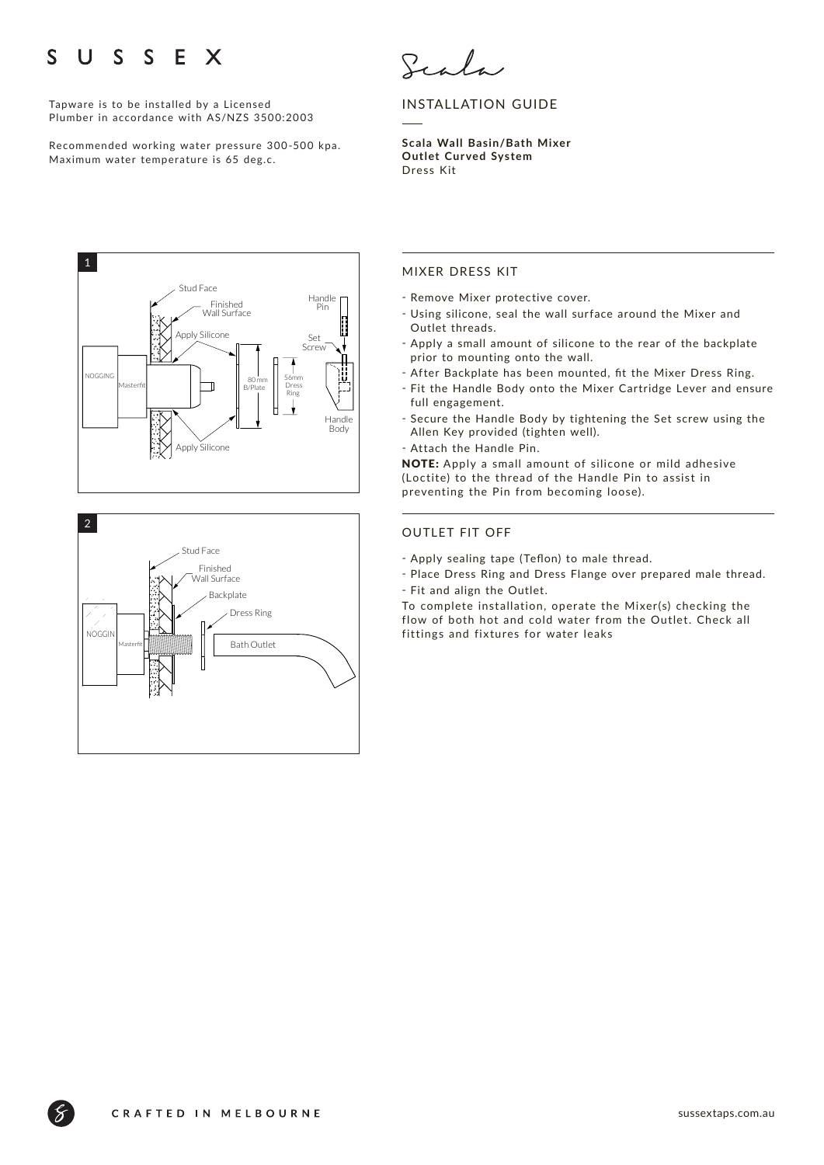### E X  $\mathbf{U}$  $S \quad S$ S

Tapware is to be installed by a Licensed Plumber in accordance with AS/NZS 3500:2003

Recommended working water pressure 300-500 kpa. Maximum water temperature is 65 deg.c.



# INSTALLATION GUIDE

**Scala Wall Basin/Bath Mixer Outlet Cur ved System**  Dress Kit





## MIXER DRESS KIT

- Remove Mixer protective cover.
- ҃ Using silicone, seal the wall surface around the Mixer and Outlet threads.
- Apply a small amount of silicone to the rear of the backplate prior to mounting onto the wall.
- After Backplate has been mounted, fit the Mixer Dress Ring.
- ҃ Fit the Handle Body onto the Mixer Cartridge Lever and ensure full engagement.
- ҃ Secure the Handle Body by tightening the Set screw using the Allen Key provided (tighten well).
- Attach the Handle Pin.

NOTE: Apply a small amount of silicone or mild adhesive (Loctite) to the thread of the Handle Pin to assist in preventing the Pin from becoming loose).

### OUTLET FIT OFF

- Apply sealing tape (Teflon) to male thread.
- Place Dress Ring and Dress Flange over prepared male thread. - Fit and align the Outlet.

To complete installation, operate the Mixer(s) checking the flow of both hot and cold water from the Outlet. Check all fittings and fixtures for water leaks